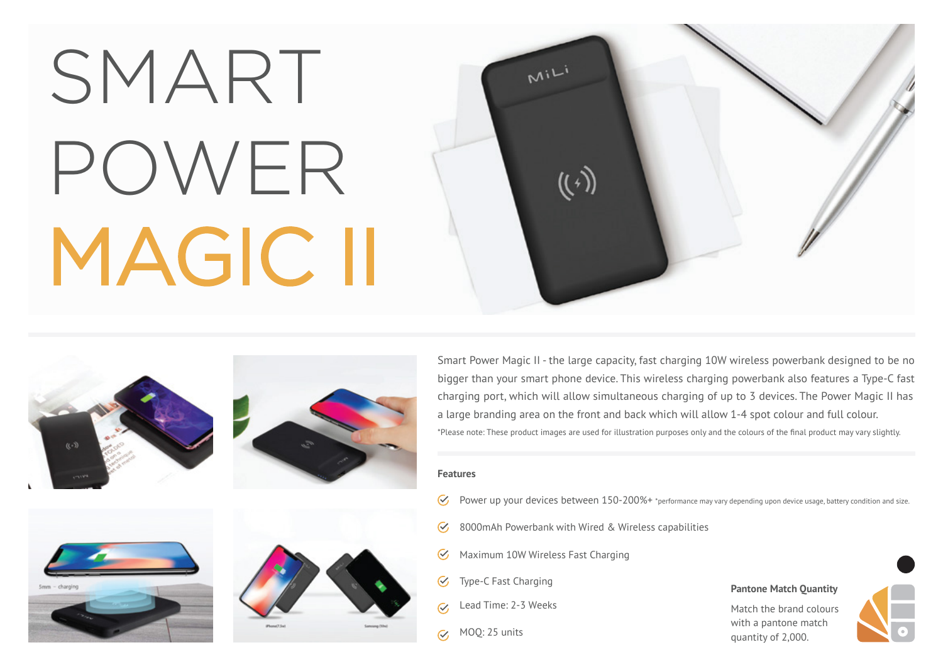# SMART POWER MAGIC II









Smart Power Magic II - the large capacity, fast charging 10W wireless powerbank designed to be no bigger than your smart phone device. This wireless charging powerbank also features a Type-C fast charging port, which will allow simultaneous charging of up to 3 devices. The Power Magic II has a large branding area on the front and back which will allow 1-4 spot colour and full colour. \*Please note: These product images are used for illustration purposes only and the colours of the final product may vary slightly.

### **Features**

- $\mathcal{C}$ Power up your devices between 150-200%+ \*performance may vary depending upon device usage, battery condition and size.
- 8000mAh Powerbank with Wired & Wireless capabilities  $\mathcal{C}_{I}$
- Maximum 10W Wireless Fast Charging  $\infty$

 $M^{iL}$ 

 $((\cdot))$ 

- Type-C Fast Charging  $\mathcal G$
- Lead Time: 2-3 Weeks  $\overline{\mathcal{C}}$
- MOQ: 25 units $\overline{\mathcal{C}}$

### **Pantone Match Quantity**

Match the brand colours with a pantone match quantity of 2,000.